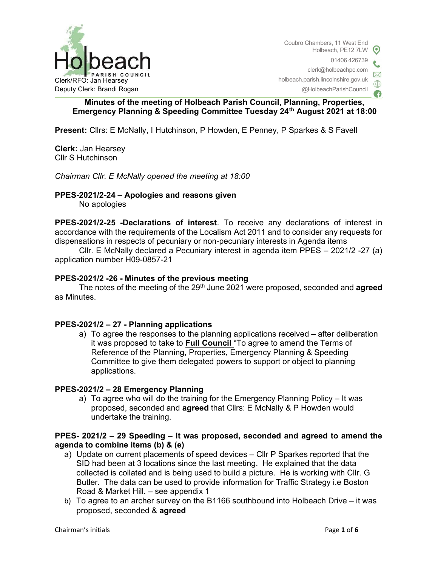

Coubro Chambers, 11 West End Holbeach, PE12 7LW 01406 426739 clerk@holbeachpc.com holbeach.parish.lincolnshire.gov.uk @HolbeachParishCouncil

# Minutes of the meeting of Holbeach Parish Council, Planning, Properties, Emergency Planning & Speeding Committee Tuesday 24th August 2021 at 18:00

Present: Cllrs: E McNally, I Hutchinson, P Howden, E Penney, P Sparkes & S Favell

Clerk: Jan Hearsey Cllr S Hutchinson

Chairman Cllr. E McNally opened the meeting at 18:00

## PPES-2021/2-24 – Apologies and reasons given

No apologies

PPES-2021/2-25 -Declarations of interest. To receive any declarations of interest in accordance with the requirements of the Localism Act 2011 and to consider any requests for dispensations in respects of pecuniary or non-pecuniary interests in Agenda items

 Cllr. E McNally declared a Pecuniary interest in agenda item PPES – 2021/2 -27 (a) application number H09-0857-21

## PPES-2021/2 -26 - Minutes of the previous meeting

The notes of the meeting of the 29<sup>th</sup> June 2021 were proposed, seconded and **agreed** as Minutes.

### PPES-2021/2 – 27 - Planning applications

a) To agree the responses to the planning applications received – after deliberation it was proposed to take to Full Council "To agree to amend the Terms of Reference of the Planning, Properties, Emergency Planning & Speeding Committee to give them delegated powers to support or object to planning applications.

### PPES-2021/2 – 28 Emergency Planning

a) To agree who will do the training for the Emergency Planning Policy – It was proposed, seconded and agreed that Cllrs: E McNally & P Howden would undertake the training.

# PPES- 2021/2 – 29 Speeding – It was proposed, seconded and agreed to amend the agenda to combine items (b) & (e)

- a) Update on current placements of speed devices Cllr P Sparkes reported that the SID had been at 3 locations since the last meeting. He explained that the data collected is collated and is being used to build a picture. He is working with Cllr. G Butler. The data can be used to provide information for Traffic Strategy i.e Boston Road & Market Hill. – see appendix 1
- b) To agree to an archer survey on the B1166 southbound into Holbeach Drive it was proposed, seconded & agreed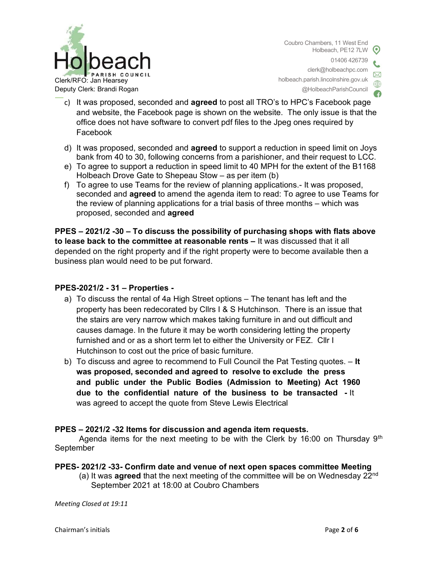

Coubro Chambers, 11 West End Holbeach, PE12 7LW 01406 426739 clerk@holbeachpc.com holbeach.parish.lincolnshire.gov.uk @HolbeachParishCouncil

- c) It was proposed, seconded and agreed to post all TRO's to HPC's Facebook page and website, the Facebook page is shown on the website. The only issue is that the office does not have software to convert pdf files to the Jpeg ones required by Facebook
- d) It was proposed, seconded and agreed to support a reduction in speed limit on Joys bank from 40 to 30, following concerns from a parishioner, and their request to LCC.
- e) To agree to support a reduction in speed limit to 40 MPH for the extent of the B1168 Holbeach Drove Gate to Shepeau Stow – as per item (b)
- f) To agree to use Teams for the review of planning applications.- It was proposed, seconded and agreed to amend the agenda item to read: To agree to use Teams for the review of planning applications for a trial basis of three months – which was proposed, seconded and agreed

PPES – 2021/2 -30 – To discuss the possibility of purchasing shops with flats above to lease back to the committee at reasonable rents – It was discussed that it all depended on the right property and if the right property were to become available then a business plan would need to be put forward.

# PPES-2021/2 - 31 – Properties -

- a) To discuss the rental of 4a High Street options The tenant has left and the property has been redecorated by Cllrs I & S Hutchinson. There is an issue that the stairs are very narrow which makes taking furniture in and out difficult and causes damage. In the future it may be worth considering letting the property furnished and or as a short term let to either the University or FEZ. Cllr I Hutchinson to cost out the price of basic furniture.
- b) To discuss and agree to recommend to Full Council the Pat Testing quotes.  $-$  It was proposed, seconded and agreed to resolve to exclude the press and public under the Public Bodies (Admission to Meeting) Act 1960 due to the confidential nature of the business to be transacted - It was agreed to accept the quote from Steve Lewis Electrical

# PPES – 2021/2 -32 Items for discussion and agenda item requests.

Agenda items for the next meeting to be with the Clerk by 16:00 on Thursday  $9<sup>th</sup>$ September

# PPES- 2021/2 -33- Confirm date and venue of next open spaces committee Meeting

(a) It was **agreed** that the next meeting of the committee will be on Wednesday  $22^{nd}$ September 2021 at 18:00 at Coubro Chambers

Meeting Closed at 19:11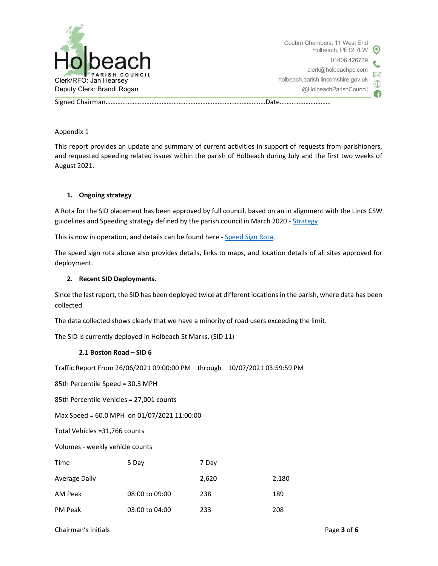

Signed Chairman………………………………………………………………………………….Date…………………………

Appendix 1

This report provides an update and summary of current activities in support of requests from parishioners, and requested speeding related issues within the parish of Holbeach during July and the first two weeks of August 2021.

### 1. Ongoing strategy

A Rota for the SID placement has been approved by full council, based on an in alignment with the Lincs CSW guidelines and Speeding strategy defined by the parish council in March 2020 - Strategy

This is now in operation, and details can be found here - Speed Sign Rota.

The speed sign rota above also provides details, links to maps, and location details of all sites approved for deployment.

### 2. Recent SID Deployments.

Since the last report, the SID has been deployed twice at different locations in the parish, where data has been collected.

The data collected shows clearly that we have a minority of road users exceeding the limit.

The SID is currently deployed in Holbeach St Marks. (SID 11)

### 2.1 Boston Road – SID 6

Traffic Report From 26/06/2021 09:00:00 PM through 10/07/2021 03:59:59 PM

85th Percentile Speed = 30.3 MPH

85th Percentile Vehicles = 27,001 counts

Max Speed = 60.0 MPH on 01/07/2021 11:00:00

Total Vehicles =31,766 counts

Volumes - weekly vehicle counts

| Time           | 5 Day          | 7 Day |       |
|----------------|----------------|-------|-------|
| Average Daily  |                | 2,620 | 2,180 |
| AM Peak        | 08:00 to 09:00 | 238   | 189   |
| <b>PM Peak</b> | 03:00 to 04:00 | 233   | 208   |

Chairman's initials **Page 3 of 6** and the contract of the Page 3 of 6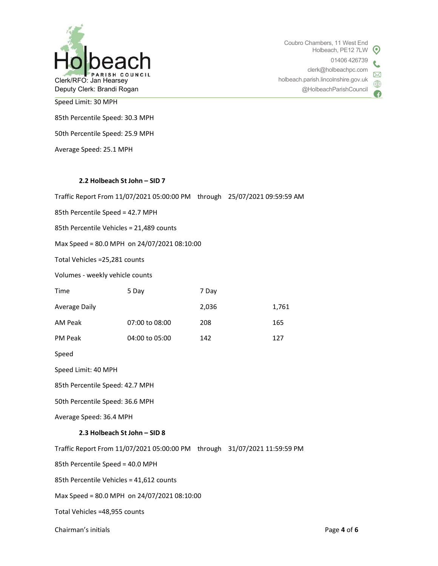

Coubro Chambers, 11 West End Holbeach, PE12 7LW  $\odot$ 01406 426739 clerk@holbeachpc.com  $\boxtimes$ holbeach.parish.lincolnshire.gov.uk ⊕ @HolbeachParishCouncil

Speed Limit: 30 MPH

85th Percentile Speed: 30.3 MPH

50th Percentile Speed: 25.9 MPH

Average Speed: 25.1 MPH

#### 2.2 Holbeach St John – SID 7

Traffic Report From 11/07/2021 05:00:00 PM through 25/07/2021 09:59:59 AM

85th Percentile Speed = 42.7 MPH

85th Percentile Vehicles = 21,489 counts

Max Speed = 80.0 MPH on 24/07/2021 08:10:00

Total Vehicles =25,281 counts

Volumes - weekly vehicle counts

| Time          | 5 Day          | 7 Day |       |
|---------------|----------------|-------|-------|
| Average Daily |                | 2,036 | 1,761 |
| AM Peak       | 07:00 to 08:00 | 208   | 165   |
| PM Peak       | 04:00 to 05:00 | 142   | 127   |

Speed

Speed Limit: 40 MPH

85th Percentile Speed: 42.7 MPH

50th Percentile Speed: 36.6 MPH

Average Speed: 36.4 MPH

#### 2.3 Holbeach St John – SID 8

Traffic Report From 11/07/2021 05:00:00 PM through 31/07/2021 11:59:59 PM

85th Percentile Speed = 40.0 MPH

85th Percentile Vehicles = 41,612 counts

Max Speed = 80.0 MPH on 24/07/2021 08:10:00

Total Vehicles =48,955 counts

Chairman's initials Page 4 of 6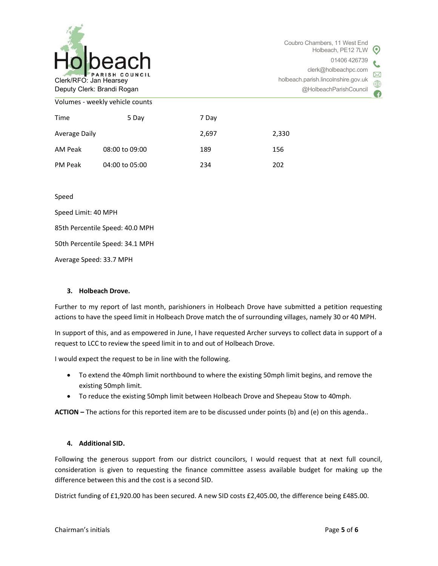

| Time          | 5 Day          | 7 Day |       |
|---------------|----------------|-------|-------|
| Average Daily |                | 2,697 | 2,330 |
| AM Peak       | 08:00 to 09:00 | 189   | 156   |
| PM Peak       | 04:00 to 05:00 | 234   | 202   |

Speed

Speed Limit: 40 MPH

85th Percentile Speed: 40.0 MPH

50th Percentile Speed: 34.1 MPH

Average Speed: 33.7 MPH

### 3. Holbeach Drove.

Further to my report of last month, parishioners in Holbeach Drove have submitted a petition requesting actions to have the speed limit in Holbeach Drove match the of surrounding villages, namely 30 or 40 MPH.

In support of this, and as empowered in June, I have requested Archer surveys to collect data in support of a request to LCC to review the speed limit in to and out of Holbeach Drove.

I would expect the request to be in line with the following.

- To extend the 40mph limit northbound to where the existing 50mph limit begins, and remove the existing 50mph limit.
- To reduce the existing 50mph limit between Holbeach Drove and Shepeau Stow to 40mph.

ACTION – The actions for this reported item are to be discussed under points (b) and (e) on this agenda..

### 4. Additional SID.

Following the generous support from our district councilors, I would request that at next full council, consideration is given to requesting the finance committee assess available budget for making up the difference between this and the cost is a second SID.

District funding of £1,920.00 has been secured. A new SID costs £2,405.00, the difference being £485.00.